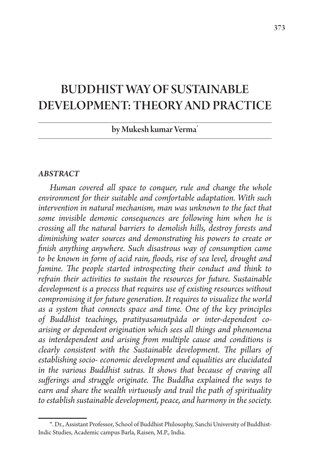## BUDDHIST WAY OF SUSTAINABLE DEVELOPMENT: THEORY AND PRACTICE

## by Mukesh kumar Verma\*

## *ABSTRACT*

*Human covered all space to conquer, rule and change the whole environment for their suitable and comfortable adaptation. With such intervention in natural mechanism, man was unknown to the fact that some invisible demonic consequences are following him when he is crossing all the natural barriers to demolish hills, destroy forests and diminishing water sources and demonstrating his powers to create or finish anything anywhere. Such disastrous way of consumption came to be known in form of acid rain, floods, rise of sea level, drought and famine. The people started introspecting their conduct and think to refrain their activities to sustain the resources for future. Sustainable development is a process that requires use of existing resources without compromising it for future generation. It requires to visualize the world as a system that connects space and time. One of the key principles of Buddhist teachings, pratityasamutpāda or inter-dependent coarising or dependent origination which sees all things and phenomena as interdependent and arising from multiple cause and conditions is clearly consistent with the Sustainable development. The pillars of establishing socio- economic development and equalities are elucidated in the various Buddhist sutras. It shows that because of craving all sufferings and struggle originate. The Buddha explained the ways to earn and share the wealth virtuously and trail the path of spirituality to establish sustainable development, peace, and harmony in the society.* 

<sup>\*.</sup> Dr., Assistant Professor, School of Buddhist Philosophy, Sanchi University of Buddhist-Indic Studies, Academic campus Barla, Raisen, M.P., India.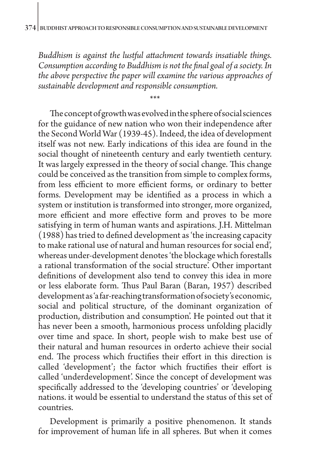*Buddhism is against the lustful attachment towards insatiable things. Consumption according to Buddhism is not the final goal of a society. In the above perspective the paper will examine the various approaches of sustainable development and responsible consumption.*

\*\*\*

The concept of growth was evolved in the sphere of social sciences for the guidance of new nation who won their independence after the Second World War (1939-45). Indeed, the idea of development itself was not new. Early indications of this idea are found in the social thought of nineteenth century and early twentieth century. It was largely expressed in the theory of social change. This change could be conceived as the transition from simple to complex forms, from less efficient to more efficient forms, or ordinary to better forms. Development may be identified as a process in which a system or institution is transformed into stronger, more organized, more efficient and more effective form and proves to be more satisfying in term of human wants and aspirations. J.H. Mittelman (1988) has tried to defined development as 'the increasing capacity to make rational use of natural and human resources for social end', whereas under-development denotes 'the blockage which forestalls a rational transformation of the social structure'. Other important definitions of development also tend to convey this idea in more or less elaborate form. Thus Paul Baran (Baran, 1957) described development as 'a far-reaching transformation of society's economic, social and political structure, of the dominant organization of production, distribution and consumption'. He pointed out that it has never been a smooth, harmonious process unfolding placidly over time and space. In short, people wish to make best use of their natural and human resources in orderto achieve their social end. The process which fructifies their effort in this direction is called 'development'; the factor which fructifies their effort is called 'underdevelopment'. Since the concept of development was specifically addressed to the 'developing countries' or 'developing nations. it would be essential to understand the status of this set of countries.

Development is primarily a positive phenomenon. It stands for improvement of human life in all spheres. But when it comes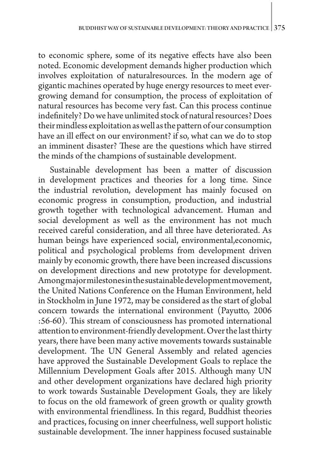to economic sphere, some of its negative effects have also been noted. Economic development demands higher production which involves exploitation of naturalresources. In the modern age of gigantic machines operated by huge energy resources to meet evergrowing demand for consumption, the process of exploitation of natural resources has become very fast. Can this process continue indefinitely? Do we have unlimited stock of natural resources? Does their mindless exploitation as well as the pattern of our consumption have an ill effect on our environment? if so, what can we do to stop an imminent disaster? These are the questions which have stirred the minds of the champions of sustainable development.

Sustainable development has been a matter of discussion in development practices and theories for a long time. Since the industrial revolution, development has mainly focused on economic progress in consumption, production, and industrial growth together with technological advancement. Human and social development as well as the environment has not much received careful consideration, and all three have deteriorated. As human beings have experienced social, environmental,economic, political and psychological problems from development driven mainly by economic growth, there have been increased discussions on development directions and new prototype for development. Among major milestones in the sustainable development movement, the United Nations Conference on the Human Environment, held in Stockholm in June 1972, may be considered as the start of global concern towards the international environment (Payutto, 2006 :56-60). This stream of consciousness has promoted international attention to environment-friendly development. Over the last thirty years, there have been many active movements towards sustainable development. The UN General Assembly and related agencies have approved the Sustainable Development Goals to replace the Millennium Development Goals after 2015. Although many UN and other development organizations have declared high priority to work towards Sustainable Development Goals, they are likely to focus on the old framework of green growth or quality growth with environmental friendliness. In this regard, Buddhist theories and practices, focusing on inner cheerfulness, well support holistic sustainable development. The inner happiness focused sustainable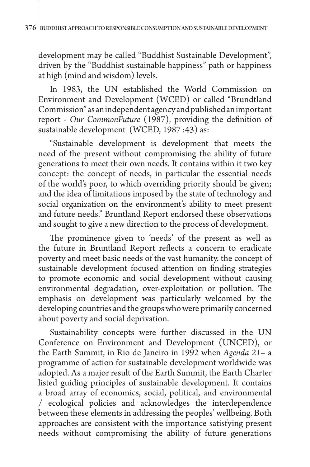development may be called "Buddhist Sustainable Development", driven by the "Buddhist sustainable happiness" path or happiness at high (mind and wisdom) levels.

In 1983, the UN established the World Commission on Environment and Development (WCED) or called "Brundtland Commission" as an independent agency and published an important report - *Our CommonFuture* (1987), providing the definition of sustainable development (WCED, 1987 :43) as:

"Sustainable development is development that meets the need of the present without compromising the ability of future generations to meet their own needs. It contains within it two key concept: the concept of needs, in particular the essential needs of the world's poor, to which overriding priority should be given; and the idea of limitations imposed by the state of technology and social organization on the environment's ability to meet present and future needs." Bruntland Report endorsed these observations and sought to give a new direction to the process of development.

The prominence given to 'needs' of the present as well as the future in Bruntland Report reflects a concern to eradicate poverty and meet basic needs of the vast humanity. the concept of sustainable development focused attention on finding strategies to promote economic and social development without causing environmental degradation, over-exploitation or pollution. The emphasis on development was particularly welcomed by the developing countries and the groups who were primarily concerned about poverty and social deprivation.

Sustainability concepts were further discussed in the UN Conference on Environment and Development (UNCED), or the Earth Summit, in Rio de Janeiro in 1992 when *Agenda 21–* a programme of action for sustainable development worldwide was adopted. As a major result of the Earth Summit, the Earth Charter listed guiding principles of sustainable development. It contains a broad array of economics, social, political, and environmental / ecological policies and acknowledges the interdependence between these elements in addressing the peoples' wellbeing. Both approaches are consistent with the importance satisfying present needs without compromising the ability of future generations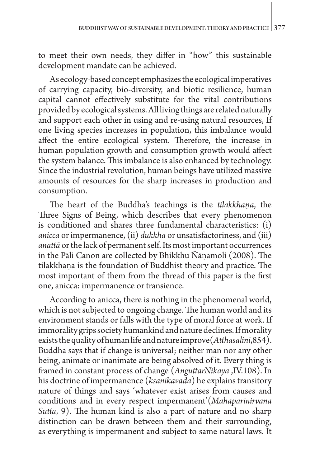to meet their own needs, they differ in "how" this sustainable development mandate can be achieved.

As ecology-based concept emphasizes the ecological imperatives of carrying capacity, bio-diversity, and biotic resilience, human capital cannot effectively substitute for the vital contributions provided by ecological systems. All living things are related naturally and support each other in using and re-using natural resources, If one living species increases in population, this imbalance would affect the entire ecological system. Therefore, the increase in human population growth and consumption growth would affect the system balance. This imbalance is also enhanced by technology. Since the industrial revolution, human beings have utilized massive amounts of resources for the sharp increases in production and consumption.

The heart of the Buddha's teachings is the *tilakkhaṇa*, the Three Signs of Being, which describes that every phenomenon is conditioned and shares three fundamental characteristics: (i) *anicca* or impermanence, (ii) *dukkha* or unsatisfactoriness, and (iii) *anattā* or the lack of permanent self. Its most important occurrences in the Pāli Canon are collected by Bhikkhu Ñāṇamoli (2008). The tilakkhaṇa is the foundation of Buddhist theory and practice. The most important of them from the thread of this paper is the first one, anicca: impermanence or transience.

According to anicca, there is nothing in the phenomenal world, which is not subjected to ongoing change. The human world and its environment stands or falls with the type of moral force at work. If immorality grips society humankind and nature declines. If morality exists the quality of human life and nature improve(*Atthasalini*,854). Buddha says that if change is universal; neither man nor any other being, animate or inanimate are being absolved of it. Every thing is framed in constant process of change (*AnguttarNikaya* ,IV.108). In his doctrine of impermanence (*ksanikavada*) he explains transitory nature of things and says 'whatever exist arises from causes and conditions and in every respect impermanent'(*Mahaparinirvana Sutta*, 9). The human kind is also a part of nature and no sharp distinction can be drawn between them and their surrounding, as everything is impermanent and subject to same natural laws. It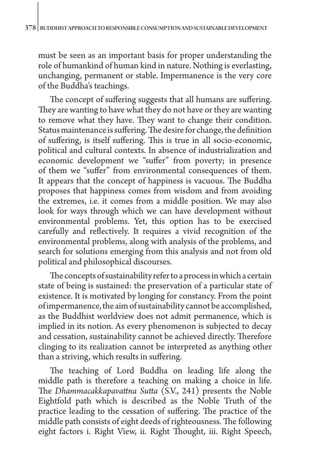must be seen as an important basis for proper understanding the role of humankind of human kind in nature. Nothing is everlasting, unchanging, permanent or stable. Impermanence is the very core of the Buddha's teachings.

The concept of suffering suggests that all humans are suffering. They are wanting to have what they do not have or they are wanting to remove what they have. They want to change their condition. Status maintenance is suffering. The desire for change, the definition of suffering, is itself suffering. This is true in all socio-economic, political and cultural contexts. In absence of industrialization and economic development we "suffer" from poverty; in presence of them we "suffer" from environmental consequences of them. It appears that the concept of happiness is vacuous. The Buddha proposes that happiness comes from wisdom and from avoiding the extremes, i.e. it comes from a middle position. We may also look for ways through which we can have development without environmental problems. Yet, this option has to be exercised carefully and reflectively. It requires a vivid recognition of the environmental problems, along with analysis of the problems, and search for solutions emerging from this analysis and not from old political and philosophical discourses.

The concepts of sustainability refer to a process in which a certain state of being is sustained: the preservation of a particular state of existence. It is motivated by longing for constancy. From the point of impermanence, the aim of sustainability cannot be accomplished, as the Buddhist worldview does not admit permanence, which is implied in its notion. As every phenomenon is subjected to decay and cessation, sustainability cannot be achieved directly. Therefore clinging to its realization cannot be interpreted as anything other than a striving, which results in suffering.

The teaching of Lord Buddha on leading life along the middle path is therefore a teaching on making a choice in life. The *Dhammacakkapavattna Sutta* (S.V., 241) presents the Noble Eightfold path which is described as the Noble Truth of the practice leading to the cessation of suffering. The practice of the middle path consists of eight deeds of righteousness. The following eight factors i. Right View, ii. Right Thought, iii. Right Speech,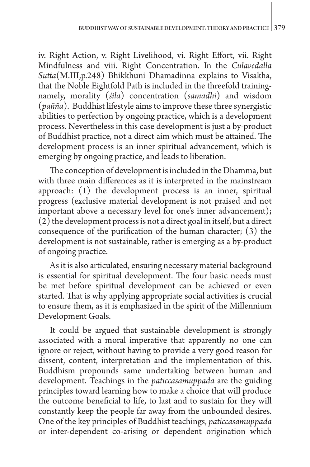iv. Right Action, v. Right Livelihood, vi. Right Effort, vii. Right Mindfulness and viii. Right Concentration. In the *Culavedalla Sutta*(M.III,p.248) Bhikkhuni Dhamadinna explains to Visakha, that the Noble Eightfold Path is included in the threefold trainingnamely, morality (*śila*) concentration (*samadhi*) and wisdom (*pañña*). Buddhist lifestyle aims to improve these three synergistic abilities to perfection by ongoing practice, which is a development process. Nevertheless in this case development is just a by-product of Buddhist practice, not a direct aim which must be attained. The development process is an inner spiritual advancement, which is emerging by ongoing practice, and leads to liberation.

The conception of development is included in the Dhamma, but with three main differences as it is interpreted in the mainstream approach: (1) the development process is an inner, spiritual progress (exclusive material development is not praised and not important above a necessary level for one's inner advancement);  $(2)$  the development process is not a direct goal in itself, but a direct consequence of the purification of the human character; (3) the development is not sustainable, rather is emerging as a by-product of ongoing practice.

As it is also articulated, ensuring necessary material background is essential for spiritual development. The four basic needs must be met before spiritual development can be achieved or even started. That is why applying appropriate social activities is crucial to ensure them, as it is emphasized in the spirit of the Millennium Development Goals.

It could be argued that sustainable development is strongly associated with a moral imperative that apparently no one can ignore or reject, without having to provide a very good reason for dissent, content, interpretation and the implementation of this. Buddhism propounds same undertaking between human and development. Teachings in the *paticcasamuppada* are the guiding principles toward learning how to make a choice that will produce the outcome beneficial to life, to last and to sustain for they will constantly keep the people far away from the unbounded desires. One of the key principles of Buddhist teachings, *paticcasamuppada* or inter-dependent co-arising or dependent origination which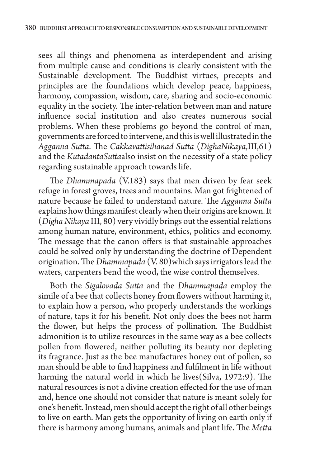sees all things and phenomena as interdependent and arising from multiple cause and conditions is clearly consistent with the Sustainable development. The Buddhist virtues, precepts and principles are the foundations which develop peace, happiness, harmony, compassion, wisdom, care, sharing and socio-economic equality in the society. The inter-relation between man and nature influence social institution and also creates numerous social problems. When these problems go beyond the control of man, governments are forced to intervene, and this is well illustrated in the *Agganna Sutta*. The *Cakkavattisihanad Sutta* (*DighaNikaya*,III,61) and the *KutadantaSutta*also insist on the necessity of a state policy regarding sustainable approach towards life.

The *Dhammapada* (V.183) says that men driven by fear seek refuge in forest groves, trees and mountains. Man got frightened of nature because he failed to understand nature. The *Agganna Sutta* explains how things manifest clearly when their origins are known. It (*Digha Nikaya* III, 80) very vividly brings out the essential relations among human nature, environment, ethics, politics and economy. The message that the canon offers is that sustainable approaches could be solved only by understanding the doctrine of Dependent origination. The *Dhammapada* (V. 80)which says irrigators lead the waters, carpenters bend the wood, the wise control themselves.

Both the *Sigalovada Sutta* and the *Dhammapada* employ the simile of a bee that collects honey from flowers without harming it, to explain how a person, who properly understands the workings of nature, taps it for his benefit. Not only does the bees not harm the flower, but helps the process of pollination. The Buddhist admonition is to utilize resources in the same way as a bee collects pollen from flowered, neither polluting its beauty nor depleting its fragrance. Just as the bee manufactures honey out of pollen, so man should be able to find happiness and fulfilment in life without harming the natural world in which he lives(Silva, 1972:9). The natural resources is not a divine creation effected for the use of man and, hence one should not consider that nature is meant solely for one's benefit. Instead, men should accept the right of all other beings to live on earth. Man gets the opportunity of living on earth only if there is harmony among humans, animals and plant life. The *Metta*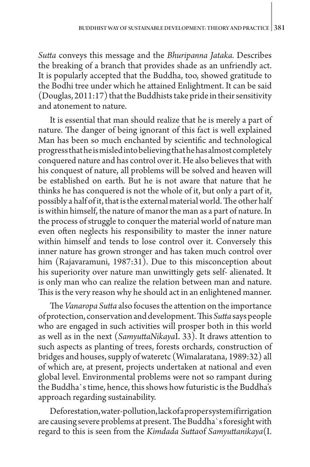*Sutta* conveys this message and the *Bhuripanna Jataka.* Describes the breaking of a branch that provides shade as an unfriendly act. It is popularly accepted that the Buddha, too, showed gratitude to the Bodhi tree under which he attained Enlightment. It can be said (Douglas, 2011:17) that the Buddhists take pride in their sensitivity and atonement to nature.

It is essential that man should realize that he is merely a part of nature. The danger of being ignorant of this fact is well explained Man has been so much enchanted by scientific and technological progress that he is misled into believing that he has almost completely conquered nature and has control over it. He also believes that with his conquest of nature, all problems will be solved and heaven will be established on earth. But he is not aware that nature that he thinks he has conquered is not the whole of it, but only a part of it, possibly a half of it, that is the external material world. The other half is within himself, the nature of manor the man as a part of nature. In the process of struggle to conquer the material world of nature man even often neglects his responsibility to master the inner nature within himself and tends to lose control over it. Conversely this inner nature has grown stronger and has taken much control over him (Rajavaramuni, 1987:31). Due to this misconception about his superiority over nature man unwittingly gets self- alienated. It is only man who can realize the relation between man and nature. This is the very reason why he should act in an enlightened manner.

The *Vanaropa Sutta* also focuses the attention on the importance of protection, conservation and development. This *Sutta* says people who are engaged in such activities will prosper both in this world as well as in the next (*SamyuttaNikaya*I. 33). It draws attention to such aspects as planting of trees, forests orchards, construction of bridges and houses, supply of wateretc (Wimalaratana, 1989:32) all of which are, at present, projects undertaken at national and even global level. Environmental problems were not so rampant during the Buddha`s time, hence, this shows how futuristic is the Buddha's approach regarding sustainability.

Deforestation, water-pollution, lack of a proper system if irrigation are causing severe problems at present. The Buddha`s foresight with regard to this is seen from the *Kimdada Sutta*of *Samyuttanikaya*(I.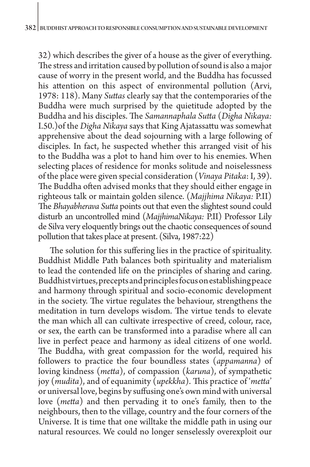32) which describes the giver of a house as the giver of everything. The stress and irritation caused by pollution of sound is also a major cause of worry in the present world, and the Buddha has focussed his attention on this aspect of environmental pollution (Arvi, 1978: 118). Many *Suttas* clearly say that the contemporaries of the Buddha were much surprised by the quietitude adopted by the Buddha and his disciples. The *Samannaphala Sutta* (*Digha Nikaya:*  I.50.)of the *Digha Nikaya* says that King Ajatassattu was somewhat apprehensive about the dead sojourning with a large following of disciples. In fact, he suspected whether this arranged visit of his to the Buddha was a plot to hand him over to his enemies. When selecting places of residence for monks solitude and noiselessness of the place were given special consideration (*Vinaya Pitaka*: I, 39). The Buddha often advised monks that they should either engage in righteous talk or maintain golden silence. (*Majjhima Nikaya:* P.II) The *Bhayabherava Sutta* points out that even the slightest sound could disturb an uncontrolled mind (*MajjhimaNikaya:* P.II) Professor Lily de Silva very eloquently brings out the chaotic consequences of sound pollution that takes place at present. (Silva, 1987:22)

The solution for this suffering lies in the practice of spirituality. Buddhist Middle Path balances both spirituality and materialism to lead the contended life on the principles of sharing and caring. Buddhist virtues, precepts and principles focus on establishing peace and harmony through spiritual and socio-economic development in the society. The virtue regulates the behaviour, strengthens the meditation in turn develops wisdom. The virtue tends to elevate the man which all can cultivate irrespective of creed, colour, race, or sex, the earth can be transformed into a paradise where all can live in perfect peace and harmony as ideal citizens of one world. The Buddha, with great compassion for the world, required his followers to practice the four boundless states (*appamanna*) of loving kindness (*metta*), of compassion (*karuna*), of sympathetic joy (*mudita*), and of equanimity (*upekkha*). This practice of '*metta*' or universal love, begins by suffusing one's own mind with universal love (*metta*) and then pervading it to one's family, then to the neighbours, then to the village, country and the four corners of the Universe. It is time that one willtake the middle path in using our natural resources. We could no longer senselessly overexploit our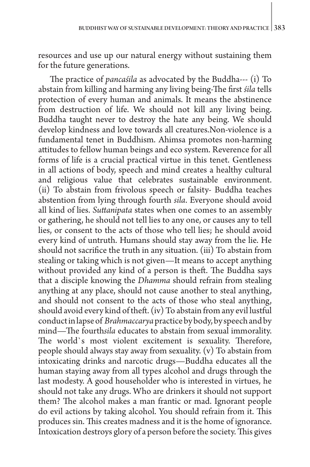resources and use up our natural energy without sustaining them for the future generations.

The practice of *pancaśila* as advocated by the Buddha--- (i) To abstain from killing and harming any living being-The first *śila* tells protection of every human and animals. It means the abstinence from destruction of life. We should not kill any living being. Buddha taught never to destroy the hate any being. We should develop kindness and love towards all creatures.Non-violence is a fundamental tenet in Buddhism. Ahimsa promotes non-harming attitudes to fellow human beings and eco system. Reverence for all forms of life is a crucial practical virtue in this tenet. Gentleness in all actions of body, speech and mind creates a healthy cultural and religious value that celebrates sustainable environment. (ii) To abstain from frivolous speech or falsity- Buddha teaches abstention from lying through fourth *sila*. Everyone should avoid all kind of lies. *Suttanipata* states when one comes to an assembly or gathering, he should not tell lies to any one, or causes any to tell lies, or consent to the acts of those who tell lies; he should avoid every kind of untruth. Humans should stay away from the lie. He should not sacrifice the truth in any situation. (iii) To abstain from stealing or taking which is not given—It means to accept anything without provided any kind of a person is theft. The Buddha says that a disciple knowing the *Dhamma* should refrain from stealing anything at any place, should not cause another to steal anything, and should not consent to the acts of those who steal anything, should avoid every kind of theft. (iv) To abstain from any evil lustful conduct in lapse of *Brahmaccarya* practice by body, by speech and by mind—The fourth*sila* educates to abstain from sexual immorality. The world`s most violent excitement is sexuality. Therefore, people should always stay away from sexuality. (v) To abstain from intoxicating drinks and narcotic drugs—Buddha educates all the human staying away from all types alcohol and drugs through the last modesty. A good householder who is interested in virtues, he should not take any drugs. Who are drinkers it should not support them? The alcohol makes a man frantic or mad. Ignorant people do evil actions by taking alcohol. You should refrain from it. This produces sin. This creates madness and it is the home of ignorance. Intoxication destroys glory of a person before the society. This gives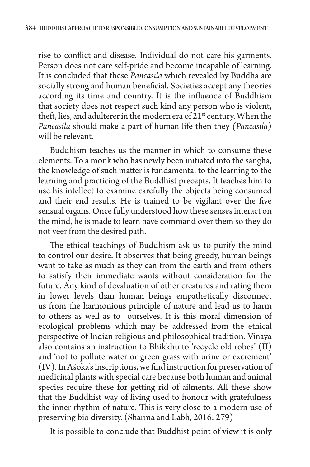rise to conflict and disease. Individual do not care his garments. Person does not care self-pride and become incapable of learning. It is concluded that these *Pancasila* which revealed by Buddha are socially strong and human beneficial. Societies accept any theories according its time and country. It is the influence of Buddhism that society does not respect such kind any person who is violent, theft, lies, and adulterer in the modern era of  $21<sup>st</sup>$  century. When the *Pancasila* should make a part of human life then they *(Pancasila*) will be relevant.

Buddhism teaches us the manner in which to consume these elements. To a monk who has newly been initiated into the sangha, the knowledge of such matter is fundamental to the learning to the learning and practicing of the Buddhist precepts. It teaches him to use his intellect to examine carefully the objects being consumed and their end results. He is trained to be vigilant over the five sensual organs. Once fully understood how these senses interact on the mind, he is made to learn have command over them so they do not veer from the desired path.

The ethical teachings of Buddhism ask us to purify the mind to control our desire. It observes that being greedy, human beings want to take as much as they can from the earth and from others to satisfy their immediate wants without consideration for the future. Any kind of devaluation of other creatures and rating them in lower levels than human beings empathetically disconnect us from the harmonious principle of nature and lead us to harm to others as well as to ourselves. It is this moral dimension of ecological problems which may be addressed from the ethical perspective of Indian religious and philosophical tradition. Vinaya also contains an instruction to Bhikkhu to 'recycle old robes' (II) and 'not to pollute water or green grass with urine or excrement' (IV). In Aśoka's inscriptions, we find instruction for preservation of medicinal plants with special care because both human and animal species require these for getting rid of ailments. All these show that the Buddhist way of living used to honour with gratefulness the inner rhythm of nature. This is very close to a modern use of preserving bio diversity. (Sharma and Labh, 2016: 279)

It is possible to conclude that Buddhist point of view it is only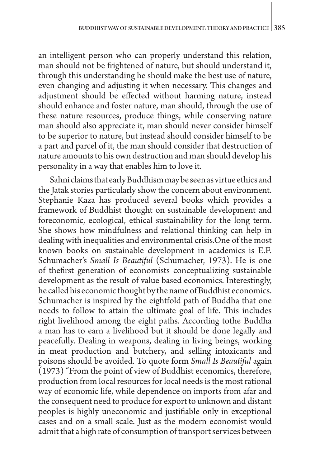an intelligent person who can properly understand this relation, man should not be frightened of nature, but should understand it, through this understanding he should make the best use of nature, even changing and adjusting it when necessary. This changes and adjustment should be effected without harming nature, instead should enhance and foster nature, man should, through the use of these nature resources, produce things, while conserving nature man should also appreciate it, man should never consider himself to be superior to nature, but instead should consider himself to be a part and parcel of it, the man should consider that destruction of nature amounts to his own destruction and man should develop his personality in a way that enables him to love it.

Sahni claims that early Buddhism may be seen as virtue ethics and the Jatak stories particularly show the concern about environment. Stephanie Kaza has produced several books which provides a framework of Buddhist thought on sustainable development and foreconomic, ecological, ethical sustainability for the long term. She shows how mindfulness and relational thinking can help in dealing with inequalities and environmental crisis.One of the most known books on sustainable development in academics is E.F. Schumacher's *Small Is Beautiful* (Schumacher, 1973). He is one of thefirst generation of economists conceptualizing sustainable development as the result of value based economics. Interestingly, he called his economic thought by the name of Buddhist economics. Schumacher is inspired by the eightfold path of Buddha that one needs to follow to attain the ultimate goal of life. This includes right livelihood among the eight paths. According tothe Buddha a man has to earn a livelihood but it should be done legally and peacefully. Dealing in weapons, dealing in living beings, working in meat production and butchery, and selling intoxicants and poisons should be avoided. To quote form *Small Is Beautiful* again (1973) "From the point of view of Buddhist economics, therefore, production from local resources for local needs is the most rational way of economic life, while dependence on imports from afar and the consequent need to produce for export to unknown and distant peoples is highly uneconomic and justifiable only in exceptional cases and on a small scale. Just as the modern economist would admit that a high rate of consumption of transport services between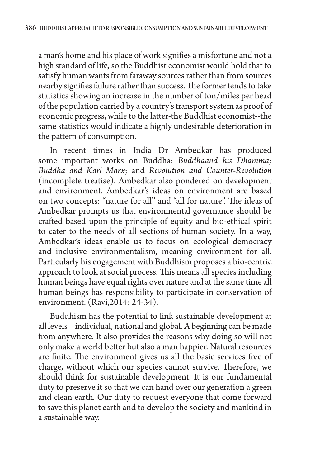a man's home and his place of work signifies a misfortune and not a high standard of life, so the Buddhist economist would hold that to satisfy human wants from faraway sources rather than from sources nearby signifies failure rather than success. The former tends to take statistics showing an increase in the number of ton/miles per head of the population carried by a country's transport system as proof of economic progress, while to the latter-the Buddhist economist--the same statistics would indicate a highly undesirable deterioration in the pattern of consumption.

In recent times in India Dr Ambedkar has produced some important works on Buddha: *Buddhaand his Dhamma; Buddha and Karl Marx*; and *Revolution and Counter-Revolution*  (incomplete treatise). Ambedkar also pondered on development and environment. Ambedkar's ideas on environment are based on two concepts: "nature for all'' and "all for nature". The ideas of Ambedkar prompts us that environmental governance should be crafted based upon the principle of equity and bio-ethical spirit to cater to the needs of all sections of human society. In a way, Ambedkar's ideas enable us to focus on ecological democracy and inclusive environmentalism, meaning environment for all. Particularly his engagement with Buddhism proposes a bio-centric approach to look at social process. This means all species including human beings have equal rights over nature and at the same time all human beings has responsibility to participate in conservation of environment. (Ravi,2014: 24-34).

Buddhism has the potential to link sustainable development at all levels – individual, national and global. A beginning can be made from anywhere. It also provides the reasons why doing so will not only make a world better but also a man happier. Natural resources are finite. The environment gives us all the basic services free of charge, without which our species cannot survive. Therefore, we should think for sustainable development. It is our fundamental duty to preserve it so that we can hand over our generation a green and clean earth. Our duty to request everyone that come forward to save this planet earth and to develop the society and mankind in a sustainable way.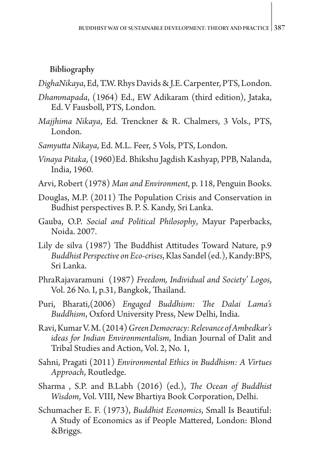## Bibliography

*DighaNikaya*, Ed, T.W. Rhys Davids & J.E. Carpenter, PTS, London.

- *Dhammapada*, (1964) Ed., EW Adikaram (third edition), Jataka, Ed. V Fausboll, PTS, London.
- *Majjhima Nikaya*, Ed. Trenckner & R. Chalmers, 3 Vols., PTS, London.
- *Samyutta Nikaya*, Ed. M.L. Feer, 5 Vols, PTS, London.
- *Vinaya Pitaka*, (1960)Ed. Bhikshu Jagdish Kashyap, PPB, Nalanda, India, 1960.
- Arvi, Robert (1978) *Man and Environment*, p. 118, Penguin Books.
- Douglas, M.P. (2011) The Population Crisis and Conservation in Budhist perspectives B. P. S. Kandy, Sri Lanka.
- Gauba, O.P. *Social and Political Philosophy*, Mayur Paperbacks, Noida. 2007.
- Lily de silva (1987) The Buddhist Attitudes Toward Nature, p.9 *Buddhist Perspective on Eco-crises*, Klas Sandel (ed.), Kandy:BPS, Sri Lanka.
- PhraRajavaramuni (1987) *Freedom, Individual and Society' Logos*, Vol. 26 No. I, p.31, Bangkok, Thailand.
- Puri, Bharati,(2006) *Engaged Buddhism: The Dalai Lama's Buddhism*, Oxford University Press, New Delhi, India.
- Ravi, Kumar V. M. (2014) *Green Democracy: Relevance of Ambedkar's ideas for Indian Environmentalism*, Indian Journal of Dalit and Tribal Studies and Action, Vol. 2, No. 1,
- Sahni, Pragati (2011) *Environmental Ethics in Buddhism: A Virtues Approach*, Routledge.
- Sharma , S.P. and B.Labh (2016) (ed.), *The Ocean of Buddhist Wisdom*, Vol. VIII, New Bhartiya Book Corporation, Delhi.
- Schumacher E. F. (1973), *Buddhist Economics*, Small Is Beautiful: A Study of Economics as if People Mattered, London: Blond &Briggs.